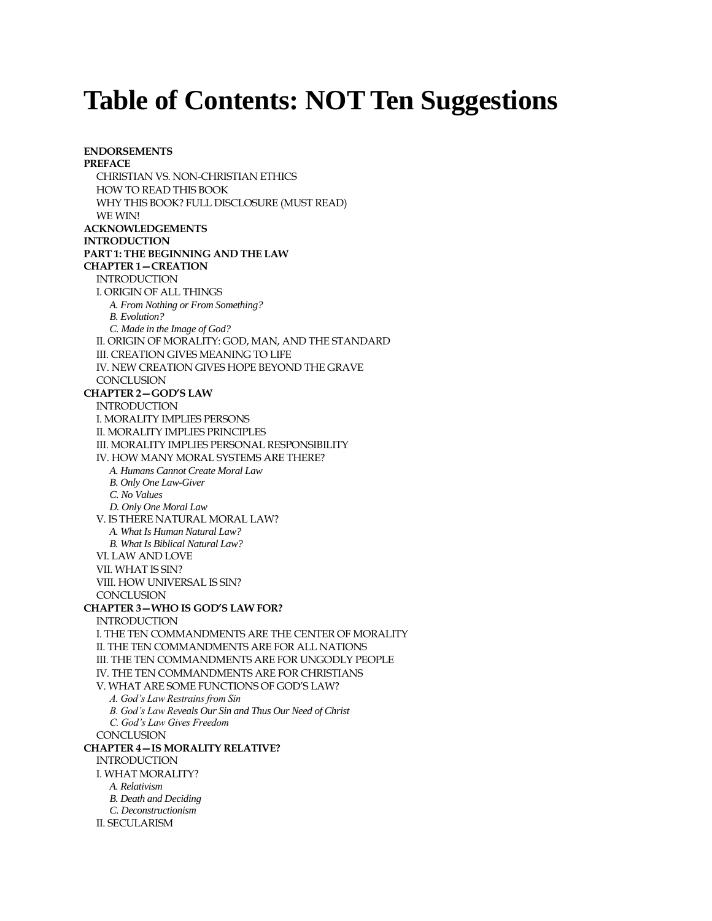## **Table of Contents: NOT Ten Suggestions**

**ENDORSEMENTS PREFACE** CHRISTIAN VS. NON-CHRISTIAN ETHICS HOW TO READ THIS BOOK WHY THIS BOOK? FULL DISCLOSURE (MUST READ) WE WIN! **ACKNOWLEDGEMENTS INTRODUCTION PART 1: THE BEGINNING AND THE LAW CHAPTER 1—CREATION** INTRODUCTION I. ORIGIN OF ALL THINGS *A. From Nothing or From Something? B. Evolution? C. Made in the Image of God?* II. ORIGIN OF MORALITY: GOD, MAN, AND THE STANDARD III. CREATION GIVES MEANING TO LIFE IV. NEW CREATION GIVES HOPE BEYOND THE GRAVE CONCLUSION **CHAPTER 2—GOD'S LAW** INTRODUCTION I. MORALITY IMPLIES PERSONS II. MORALITY IMPLIES PRINCIPLES III. MORALITY IMPLIES PERSONAL RESPONSIBILITY IV. HOW MANY MORAL SYSTEMS ARE THERE? *A. Humans Cannot Create Moral Law B. Only One Law-Giver C. No Values D. Only One Moral Law* V. IS THERE NATURAL MORAL LAW? *A. What Is Human Natural Law? B. What Is Biblical Natural Law?* VI. LAW AND LOVE VII. WHAT IS SIN? VIII. HOW UNIVERSAL IS SIN? **CONCLUSION CHAPTER 3—WHO IS GOD'S LAW FOR?** INTRODUCTION I. THE TEN COMMANDMENTS ARE THE CENTER OF MORALITY II. THE TEN COMMANDMENTS ARE FOR ALL NATIONS III. THE TEN COMMANDMENTS ARE FOR UNGODLY PEOPLE IV. THE TEN COMMANDMENTS ARE FOR CHRISTIANS V. WHAT ARE SOME FUNCTIONS OF GOD'S LAW? *A. God's Law Restrains from Sin B. God's Law Reveals Our Sin and Thus Our Need of Christ C. God's Law Gives Freedom* **CONCLUSION CHAPTER 4—IS MORALITY RELATIVE?** INTRODUCTION I. WHAT MORALITY? *A. Relativism B. Death and Deciding C. Deconstructionism* II. SECULARISM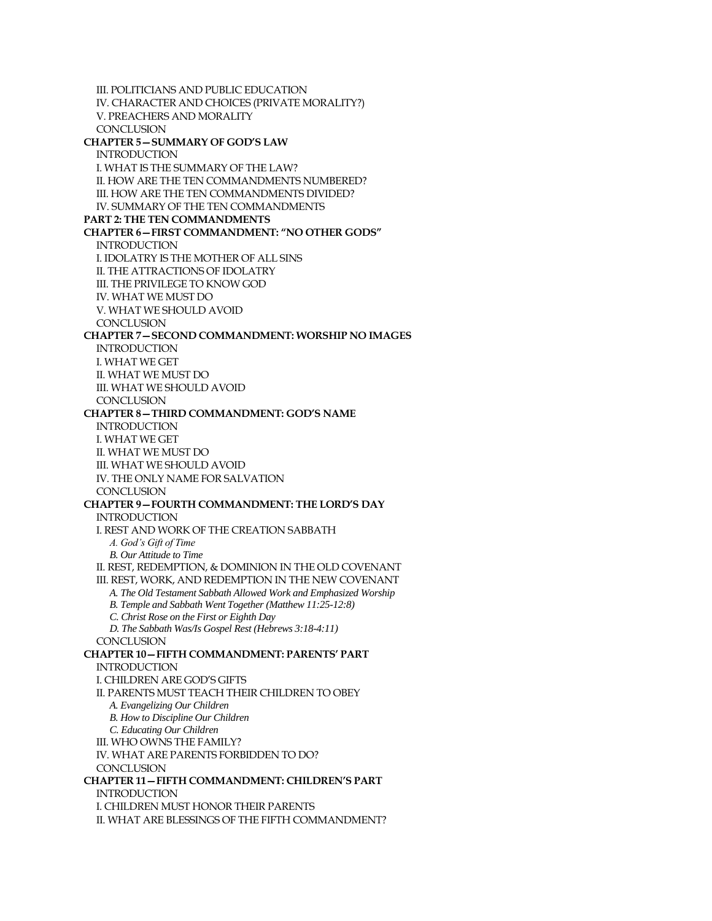III. POLITICIANS AND PUBLIC EDUCATION IV. CHARACTER AND CHOICES (PRIVATE MORALITY?) V. PREACHERS AND MORALITY CONCLUSION **CHAPTER 5—SUMMARY OF GOD'S LAW** INTRODUCTION I. WHAT IS THE SUMMARY OF THE LAW? II. HOW ARE THE TEN COMMANDMENTS NUMBERED? III. HOW ARE THE TEN COMMANDMENTS DIVIDED? IV. SUMMARY OF THE TEN COMMANDMENTS **PART 2: THE TEN COMMANDMENTS CHAPTER 6—FIRST COMMANDMENT: "NO OTHER GODS"** INTRODUCTION I. IDOLATRY IS THE MOTHER OF ALL SINS II. THE ATTRACTIONS OF IDOLATRY III. THE PRIVILEGE TO KNOW GOD IV. WHAT WE MUST DO V. WHAT WE SHOULD AVOID CONCLUSION **CHAPTER 7—SECOND COMMANDMENT: WORSHIP NO IMAGES** INTRODUCTION I. WHAT WE GET II. WHAT WE MUST DO III. WHAT WE SHOULD AVOID **CONCLUSION CHAPTER 8—THIRD COMMANDMENT: GOD'S NAME** INTRODUCTION I. WHAT WE GET II. WHAT WE MUST DO III. WHAT WE SHOULD AVOID IV. THE ONLY NAME FOR SALVATION **CONCLUSION CHAPTER 9—FOURTH COMMANDMENT: THE LORD'S DAY INTRODUCTION** I. REST AND WORK OF THE CREATION SABBATH *A. God's Gift of Time B. Our Attitude to Time* II. REST, REDEMPTION, & DOMINION IN THE OLD COVENANT III. REST, WORK, AND REDEMPTION IN THE NEW COVENANT *A. The Old Testament Sabbath Allowed Work and Emphasized Worship B. Temple and Sabbath Went Together (Matthew 11:25-12:8) C. Christ Rose on the First or Eighth Day D. The Sabbath Was/Is Gospel Rest (Hebrews 3:18-4:11)* **CONCLUSION CHAPTER 10—FIFTH COMMANDMENT: PARENTS' PART INTRODUCTION** I. CHILDREN ARE GOD'S GIFTS II. PARENTS MUST TEACH THEIR CHILDREN TO OBEY *A. Evangelizing Our Children B. How to Discipline Our Children C. Educating Our Children* III. WHO OWNS THE FAMILY? IV. WHAT ARE PARENTS FORBIDDEN TO DO? **CONCLUSION CHAPTER 11—FIFTH COMMANDMENT: CHILDREN'S PART** INTRODUCTION I. CHILDREN MUST HONOR THEIR PARENTS II. WHAT ARE BLESSINGS OF THE FIFTH COMMANDMENT?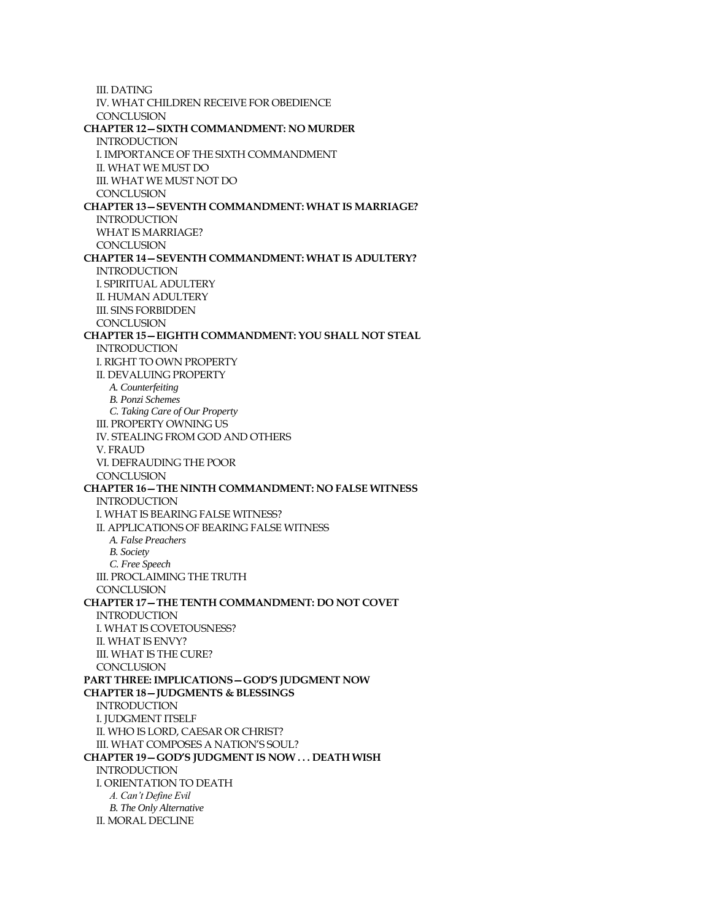III. DATING IV. WHAT CHILDREN RECEIVE FOR OBEDIENCE CONCLUSION **CHAPTER 12—SIXTH COMMANDMENT: NO MURDER INTRODUCTION** I. IMPORTANCE OF THE SIXTH COMMANDMENT II. WHAT WE MUST DO III. WHAT WE MUST NOT DO **CONCLUSION CHAPTER 13—SEVENTH COMMANDMENT: WHAT IS MARRIAGE? INTRODUCTION** WHAT IS MARRIAGE? **CONCLUSION CHAPTER 14—SEVENTH COMMANDMENT: WHAT IS ADULTERY? INTRODUCTION** I. SPIRITUAL ADULTERY II. HUMAN ADULTERY III. SINS FORBIDDEN CONCLUSION **CHAPTER 15—EIGHTH COMMANDMENT: YOU SHALL NOT STEAL INTRODUCTION** I. RIGHT TO OWN PROPERTY II. DEVALUING PROPERTY *A. Counterfeiting B. Ponzi Schemes C. Taking Care of Our Property* III. PROPERTY OWNING US IV. STEALING FROM GOD AND OTHERS V. FRAUD VI. DEFRAUDING THE POOR **CONCLUSION CHAPTER 16—THE NINTH COMMANDMENT: NO FALSE WITNESS INTRODUCTION** I. WHAT IS BEARING FALSE WITNESS? II. APPLICATIONS OF BEARING FALSE WITNESS *A. False Preachers B. Society C. Free Speech* III. PROCLAIMING THE TRUTH CONCLUSION **CHAPTER 17—THE TENTH COMMANDMENT: DO NOT COVET** INTRODUCTION I. WHAT IS COVETOUSNESS? II. WHAT IS ENVY? III. WHAT IS THE CURE? **CONCLUSION PART THREE: IMPLICATIONS—GOD'S JUDGMENT NOW CHAPTER 18—JUDGMENTS & BLESSINGS INTRODUCTION** I. JUDGMENT ITSELF II. WHO IS LORD, CAESAR OR CHRIST? III. WHAT COMPOSES A NATION'S SOUL? **CHAPTER 19—GOD'S JUDGMENT IS NOW . . . DEATH WISH** INTRODUCTION I. ORIENTATION TO DEATH *A. Can't Define Evil B. The Only Alternative* II. MORAL DECLINE